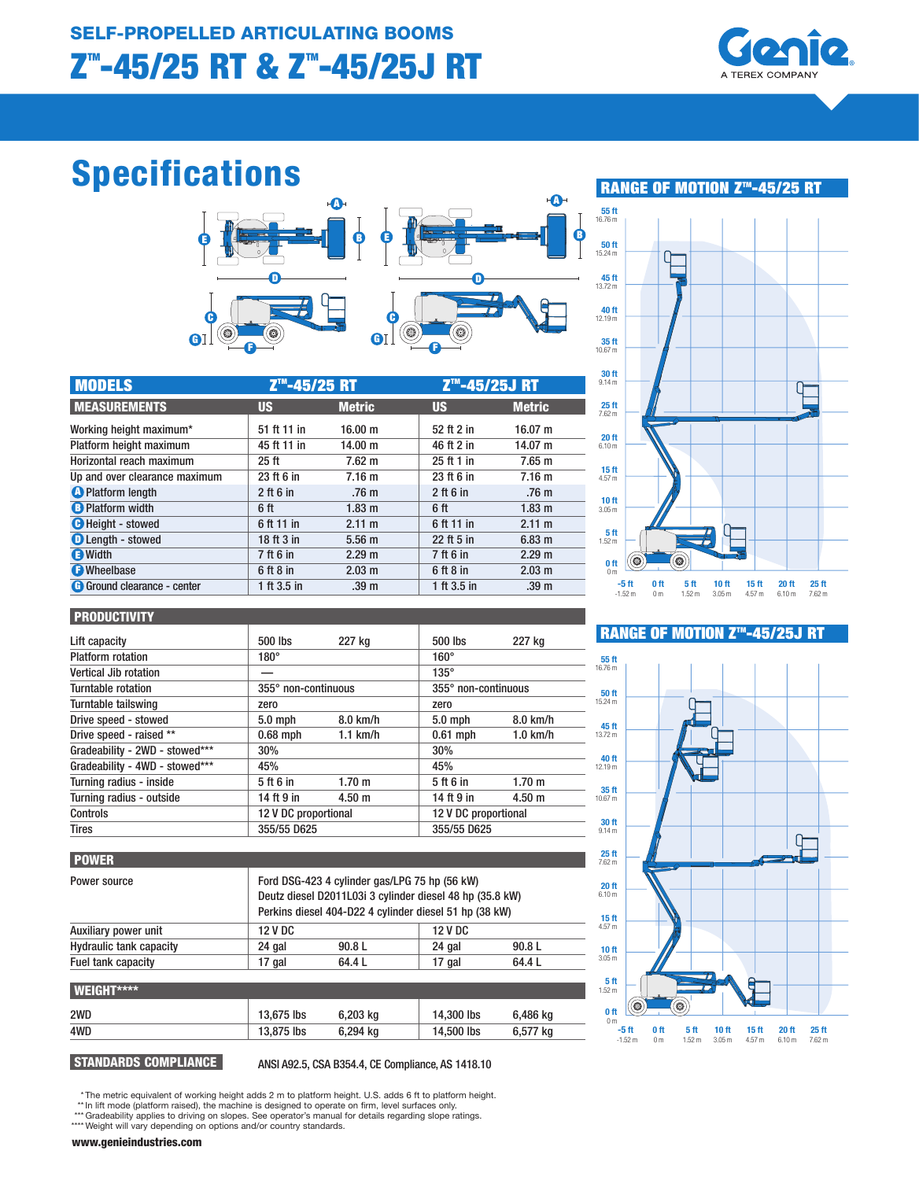

# Specifications



| <b>MODELS</b>                 | Z <sup>™</sup> -45/25 RT |                   |             | Z <sup>™</sup> -45/25J RT |  |
|-------------------------------|--------------------------|-------------------|-------------|---------------------------|--|
| <b>MEASUREMENTS</b>           | <b>US</b>                | <b>Metric</b>     | <b>US</b>   | <b>Metric</b>             |  |
| Working height maximum*       | 51 ft 11 in              | 16.00 m           | 52 ft 2 in  | 16.07 m                   |  |
| Platform height maximum       | 45 ft 11 in              | 14.00 m           | 46 ft 2 in  | 14.07 m                   |  |
| Horizontal reach maximum      | 25 <sub>ft</sub>         | 7.62 m            | 25 ft 1 in  | 7.65 m                    |  |
| Up and over clearance maximum | 23 ft 6 in               | 7.16 <sub>m</sub> | 23 ft 6 in  | 7.16 m                    |  |
| <b>O</b> Platform length      | $2$ ft 6 in              | .76 <sub>m</sub>  | $2$ ft 6 in | .76 <sub>m</sub>          |  |
| <b>B</b> Platform width       | 6 ft                     | 1.83 m            | 6 ft        | 1.83 <sub>m</sub>         |  |
| <b>O</b> Height - stowed      | 6 ft 11 in               | 2.11 m            | 6 ft 11 in  | 2.11 m                    |  |
| <b>O</b> Length - stowed      | 18 ft 3 in               | 5.56 <sub>m</sub> | 22 ft 5 in  | 6.83 <sub>m</sub>         |  |
| <b>B</b> Width                | 7 ft 6 in                | 2.29 <sub>m</sub> | 7 ft 6 in   | 2.29 <sub>m</sub>         |  |
| <b>O</b> Wheelbase            | 6 ft 8 in                | 2.03 m            | 6 ft 8 in   | 2.03 m                    |  |
| G Ground clearance - center   | 1 ft 3.5 in              | .39 <sub>m</sub>  | 1 ft 3.5 in | .39 <sub>m</sub>          |  |



#### PRODUCTIVITY

| Lift capacity                  | 500 lbs              | 227 kg            | 500 lbs              | 227 kg     |
|--------------------------------|----------------------|-------------------|----------------------|------------|
| <b>Platform rotation</b>       | $180^\circ$          |                   | $160^\circ$          |            |
| Vertical Jib rotation          |                      |                   | $135^\circ$          |            |
| Turntable rotation             | 355° non-continuous  |                   | 355° non-continuous  |            |
| Turntable tailswing            | zero                 |                   | zero                 |            |
| Drive speed - stowed           | $5.0$ mph            | $8.0$ km/h        | $5.0$ mph            | 8.0 km/h   |
| Drive speed - raised **        | $0.68$ mph           | $1.1$ km/h        | $0.61$ mph           | $1.0$ km/h |
| Gradeability - 2WD - stowed*** | 30%                  |                   | 30%                  |            |
| Gradeability - 4WD - stowed*** | 45%                  |                   | 45%                  |            |
| Turning radius - inside        | 5 ft 6 in            | 1.70 m            | 5 ft 6 in            | 1.70 m     |
| Turning radius - outside       | 14 ft 9 in           | 4.50 <sub>m</sub> | 14 ft 9 in           | 4.50 m     |
| Controls                       | 12 V DC proportional |                   | 12 V DC proportional |            |
| <b>Tires</b>                   | 355/55 D625          |                   | 355/55 D625          |            |

## **RANGE OF MOTION Z™-45/25J RT**



## POWER

| Power source                   |                | Ford DSG-423 4 cylinder gas/LPG 75 hp (56 kW)<br>Deutz diesel D2011L03i 3 cylinder diesel 48 hp (35.8 kW)<br>Perkins diesel 404-D22 4 cylinder diesel 51 hp (38 kW) |                |          |  |  |
|--------------------------------|----------------|---------------------------------------------------------------------------------------------------------------------------------------------------------------------|----------------|----------|--|--|
| Auxiliary power unit           | <b>12 V DC</b> |                                                                                                                                                                     | <b>12 V DC</b> |          |  |  |
| <b>Hydraulic tank capacity</b> | 24 gal         | 90.8L                                                                                                                                                               | 24 gal         | 90.8L    |  |  |
| Fuel tank capacity             | 17 gal         | 64.4 L                                                                                                                                                              | 17 gal         | 64.4L    |  |  |
| <b>WEIGHT****</b>              |                |                                                                                                                                                                     |                |          |  |  |
| 2WD                            | 13,675 lbs     | 6,203 kg                                                                                                                                                            | 14,300 lbs     | 6,486 kg |  |  |
| 4WD                            | 13.875 lbs     | 6.294 kg                                                                                                                                                            | 14,500 lbs     | 6.577 kg |  |  |

STANDARDS COMPLIANCE ANSI A92.5, CSA B354.4, CE Compliance, AS 1418.10

\* The metric equivalent of working height adds 2 m to platform height. U.S. adds 6 ft to platform height.<br>\*\* In lift mode (platform raised), the machine is designed to operate on firm, level surfaces only.<br>\*\*\* Gradeability

\*\*\*\* Weight will vary depending on options and/or country standards.

www.genieindustries.com